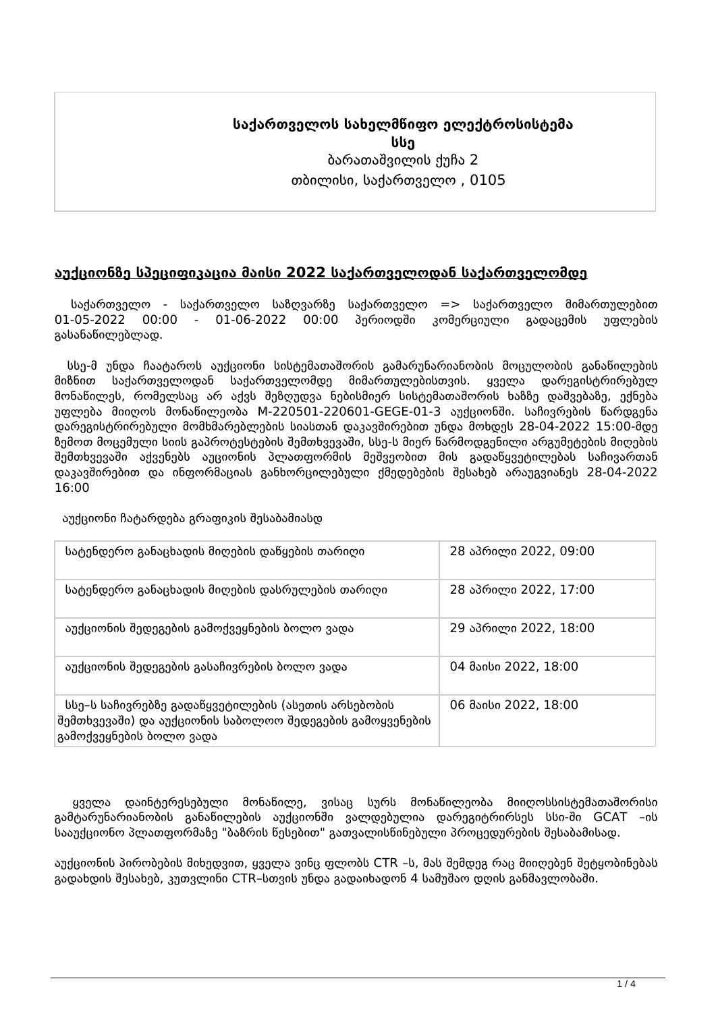## **საქართველოს სახელმწიფო ელექტროსისტემა სსე** *ბარათაშვილის ქუჩა 2 თბილისი, საქართველო , 0105*

### **აუქციონზე სპეციფიკაცია მაისი 2022 საქართველოდან საქართველომდე**

 *საქართველო - საქართველო საზღვარზე საქართველო => საქართველო მიმართულებით 01-05-2022 00:00 - 01-06-2022 00:00 პერიოდში კომერციული გადაცემის უფლების გასანაწილებლად.*

 *სსე-მ უნდა ჩაატაროს აუქციონი სისტემათაშორის გამარუნარიანობის მოცულობის განაწილების მიზნით საქართველოდან საქართველომდე მიმართულებისთვის. ყველა დარეგისტრირებულ მონაწილეს, რომელსაც არ აქვს შეზღუდვა ნებისმიერ სისტემათაშორის ხაზზე დაშვებაზე, ექნება უფლება მიიღოს მონაწილეობა M-220501-220601-GEGE-01-3 აუქციონში. საჩივრების წარდგენა დარეგისტრირებული მომხმარებლების სიასთან დაკავშირებით უნდა მოხდეს 28-04-2022 15:00-მდე ზემოთ მოცემული სიის გაპროტესტების შემთხვევაში, სსე-ს მიერ წარმოდგენილი არგუმეტების მიღების შემთხვევაში აქვენებს აუციონის პლათფორმის მეშვეობით მის გადაწყვეტილებას საჩივართან დაკავშირებით და ინფორმაციას განხორცილებული ქმედებების შესახებ არაუგვიანეს 28-04-2022 16:00*

 *აუქციონი ჩატარდება გრაფიკის შესაბამიასდ*

| სატენდერო განაცხადის მიღების დაწყების თარიღი                                                                                              | 28 აპრილი 2022, 09:00 |
|-------------------------------------------------------------------------------------------------------------------------------------------|-----------------------|
| სატენდერო განაცხადის მიღების დასრულების თარიღი                                                                                            | 28 აპრილი 2022, 17:00 |
| აუქციონის შედეგების გამოქვეყნების ბოლო ვადა                                                                                               | 29 აპრილი 2022, 18:00 |
| აუქციონის შედეგების გასაჩივრების ბოლო ვადა                                                                                                | 04 მაისი 2022, 18:00  |
| სსე–ს საჩივრებზე გადაწყვეტილების (ასეთის არსებობის<br>შემთხვევაში) და აუქციონის საბოლოო შედეგების გამოყვენების<br>გამოქვეყნების ბოლო ვადა | 06 მაისი 2022, 18:00  |

 *ყველა დაინტერესებული მონაწილე, ვისაც სურს მონაწილეობა მიიღოსსისტემათაშორისი გამტარუნარიანობის განაწილების აუქციონში ვალდებულია დარეგიტრირსეს სსი-ში GCAT –ის სააუქციონო პლათფორმაზე "ბაზრის წესებით" გათვალისწინებული პროცედურების შესაბამისად.*

*აუქციონის პირობების მიხედვით, ყველა ვინც ფლობს CTR –ს, მას შემდეგ რაც მიიღებენ შეტყობინებას გადახდის შესახებ, კუთვლინი CTR–სთვის უნდა გადაიხადონ 4 სამუშაო დღის განმავლობაში.*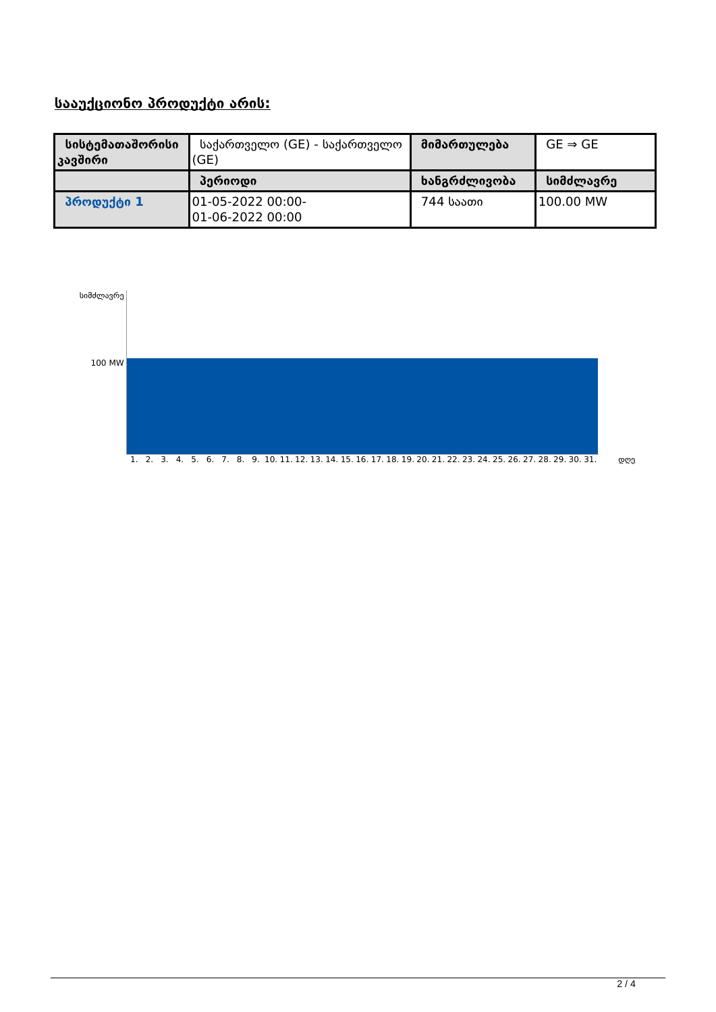# **სააუქციონო პროდუქტი არის:**

| სისტემათაშორისი<br> კავშირი | საქართველო (GE) - საქართველო<br>(GE)  | მიმართულება  | $GE \Rightarrow GE$ |
|-----------------------------|---------------------------------------|--------------|---------------------|
|                             | ∕ პერიოდი                             | ხანგრძლივობა | სიმძლავრე           |
| პროდუქტი 1                  | 01-05-2022 00:00-<br>01-06-2022 00:00 | 744 საათი    | 1100.00 MW          |



 $2/4$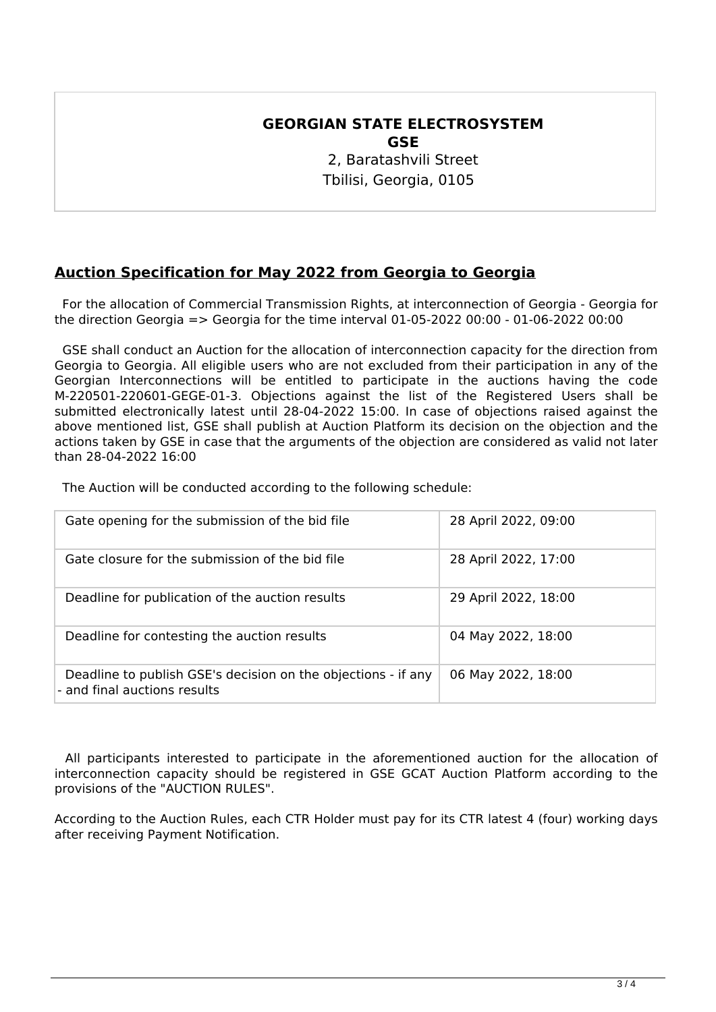#### **GEORGIAN STATE ELECTROSYSTEM GSE**

*2, Baratashvili Street Tbilisi, Georgia, 0105* 

## **Auction Specification for May 2022 from Georgia to Georgia**

 *For the allocation of Commercial Transmission Rights, at interconnection of Georgia - Georgia for the direction Georgia => Georgia for the time interval 01-05-2022 00:00 - 01-06-2022 00:00*

 *GSE shall conduct an Auction for the allocation of interconnection capacity for the direction from Georgia to Georgia. All eligible users who are not excluded from their participation in any of the Georgian Interconnections will be entitled to participate in the auctions having the code M-220501-220601-GEGE-01-3. Objections against the list of the Registered Users shall be submitted electronically latest until 28-04-2022 15:00. In case of objections raised against the above mentioned list, GSE shall publish at Auction Platform its decision on the objection and the actions taken by GSE in case that the arguments of the objection are considered as valid not later than 28-04-2022 16:00*

 *The Auction will be conducted according to the following schedule:*

| Gate opening for the submission of the bid file                                               | 28 April 2022, 09:00 |
|-----------------------------------------------------------------------------------------------|----------------------|
| Gate closure for the submission of the bid file                                               | 28 April 2022, 17:00 |
| Deadline for publication of the auction results                                               | 29 April 2022, 18:00 |
| Deadline for contesting the auction results                                                   | 04 May 2022, 18:00   |
| Deadline to publish GSE's decision on the objections - if any<br>- and final auctions results | 06 May 2022, 18:00   |

 *All participants interested to participate in the aforementioned auction for the allocation of interconnection capacity should be registered in GSE GCAT Auction Platform according to the provisions of the "AUCTION RULES".*

*According to the Auction Rules, each CTR Holder must pay for its CTR latest 4 (four) working days after receiving Payment Notification.*